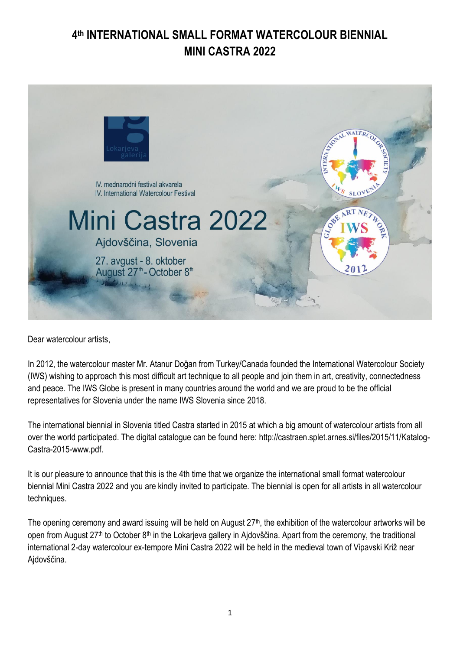# **4 th INTERNATIONAL SMALL FORMAT WATERCOLOUR BIENNIAL MINI CASTRA 2022**



Dear watercolour artists,

In 2012, the watercolour master Mr. Atanur Doğan from Turkey/Canada founded the International Watercolour Society (IWS) wishing to approach this most difficult art technique to all people and join them in art, creativity, connectedness and peace. The IWS Globe is present in many countries around the world and we are proud to be the official representatives for Slovenia under the name IWS Slovenia since 2018.

The international biennial in Slovenia titled Castra started in 2015 at which a big amount of watercolour artists from all over the world participated. The digital catalogue can be found here: http://castraen.splet.arnes.si/files/2015/11/Katalog-Castra-2015-www.pdf.

It is our pleasure to announce that this is the 4th time that we organize the international small format watercolour biennial Mini Castra 2022 and you are kindly invited to participate. The biennial is open for all artists in all watercolour techniques.

The opening ceremony and award issuing will be held on August  $27<sup>th</sup>$ , the exhibition of the watercolour artworks will be open from August 27<sup>th</sup> to October 8<sup>th</sup> in the Lokarjeva gallery in Ajdovščina. Apart from the ceremony, the traditional international 2-day watercolour ex-tempore Mini Castra 2022 will be held in the medieval town of Vipavski Križ near Ajdovščina.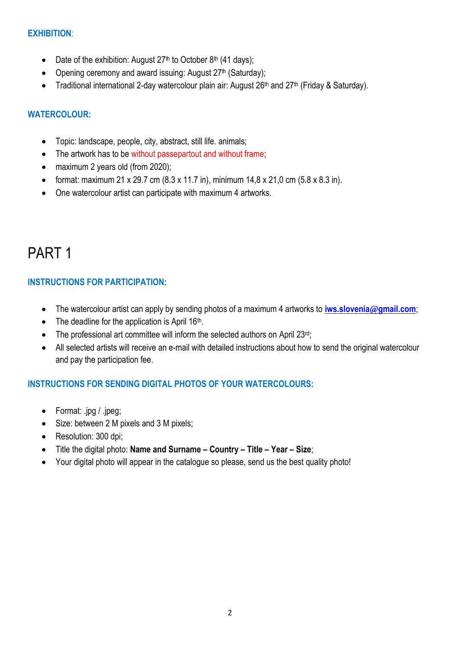#### **EXHIBITION**:

- Date of the exhibition: August  $27<sup>th</sup>$  to October 8<sup>th</sup> (41 days);
- Opening ceremony and award issuing: August 27<sup>th</sup> (Saturday);
- Traditional international 2-day watercolour plain air: August 26<sup>th</sup> and 27<sup>th</sup> (Friday & Saturday).

#### **WATERCOLOUR:**

- Topic: landscape, people, city, abstract, still life. animals;
- The artwork has to be without passepartout and without frame;
- maximum 2 years old (from 2020);
- format: maximum 21 x 29.7 cm  $(8.3 \times 11.7 \text{ in})$ , minimum  $14.8 \times 21.0 \text{ cm}$   $(5.8 \times 8.3 \text{ in})$ .
- One watercolour artist can participate with maximum 4 artworks.

# PART 1

#### **INSTRUCTIONS FOR PARTICIPATION:**

- The watercolour artist can apply by sending photos of a maximum 4 artworks to **[iws.slovenia](mailto:iws.slovenia@gmail.com)@gmail.com**;
- The deadline for the application is April  $16<sup>th</sup>$ .
- The professional art committee will inform the selected authors on April 23rd;
- All selected artists will receive an e-mail with detailed instructions about how to send the original watercolour and pay the participation fee.

## **INSTRUCTIONS FOR SENDING DIGITAL PHOTOS OF YOUR WATERCOLOURS:**

- Format: .jpg / .jpeg;
- Size: between 2 M pixels and 3 M pixels;
- Resolution: 300 dpi:
- Title the digital photo: **Name and Surname – Country – Title – Year – Size**;
- Your digital photo will appear in the catalogue so please, send us the best quality photo!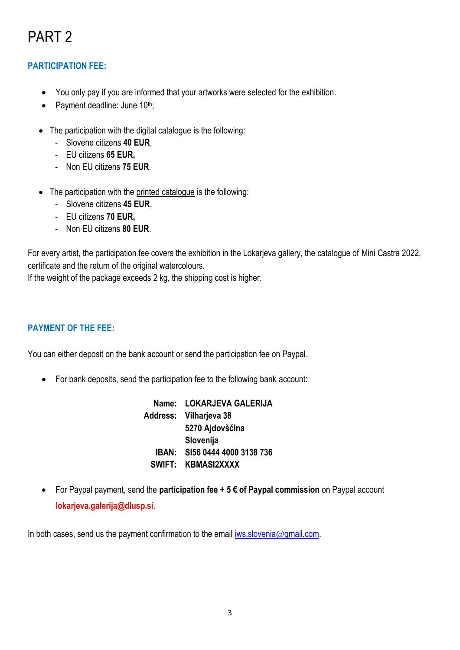# PART 2

## **PARTICIPATION FEE:**

- You only pay if you are informed that your artworks were selected for the exhibition.
- Payment deadline: June 10<sup>th</sup>;
- The participation with the digital catalogue is the following:
	- Slovene citizens **40 EUR**,
	- EU citizens **65 EUR,**
	- Non EU citizens **75 EUR**.
- The participation with the printed catalogue is the following:
	- Slovene citizens **45 EUR**,
	- EU citizens **70 EUR,**
	- Non EU citizens **80 EUR**.

For every artist, the participation fee covers the exhibition in the Lokarjeva gallery, the catalogue of Mini Castra 2022, certificate and the return of the original watercolours.

If the weight of the package exceeds 2 kg, the shipping cost is higher.

#### **PAYMENT OF THE FEE:**

You can either deposit on the bank account or send the participation fee on Paypal.

• For bank deposits, send the participation fee to the following bank account:

**Name: LOKARJEVA GALERIJA Address: Vilharjeva 38 IBAN: SI56 0444 4000 3138 736 SWIFT: KBMASI2XXXX 5270 Ajdovščina Slovenija**

• For Paypal payment, send the **participation fee + 5 € of Paypal commission** on Paypal account **lokarjeva.galerija@dlusp.si**.

In both cases, send us the payment confirmation to the email *iws.slovenia@gmail.com.*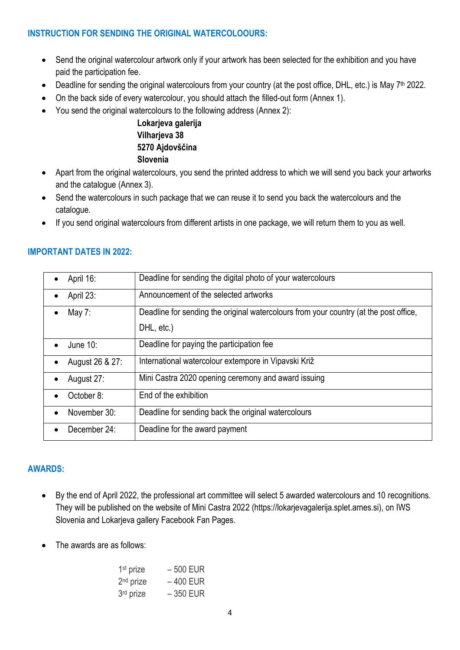#### **INSTRUCTION FOR SENDING THE ORIGINAL WATERCOLOOURS:**

- Send the original watercolour artwork only if your artwork has been selected for the exhibition and you have paid the participation fee.
- Deadline for sending the original watercolours from your country (at the post office, DHL, etc.) is May 7<sup>th</sup> 2022.
- On the back side of every watercolour, you should attach the filled-out form (Annex 1).
- You send the original watercolours to the following address (Annex 2):

**Lokarjeva galerija Vilharjeva 38 5270 Ajdovščina Slovenia**

- Apart from the original watercolours, you send the printed address to which we will send you back your artworks and the catalogue (Annex 3).
- Send the watercolours in such package that we can reuse it to send you back the watercolours and the catalogue.
- If you send original watercolours from different artists in one package, we will return them to you as well.

|           | April 16:       | Deadline for sending the digital photo of your watercolours                           |
|-----------|-----------------|---------------------------------------------------------------------------------------|
|           | April 23:       | Announcement of the selected artworks                                                 |
|           | May $7:$        | Deadline for sending the original watercolours from your country (at the post office, |
|           |                 | DHL, etc.)                                                                            |
| $\bullet$ | June 10:        | Deadline for paying the participation fee                                             |
|           | August 26 & 27: | International watercolour extempore in Vipavski Križ                                  |
|           | August 27:      | Mini Castra 2020 opening ceremony and award issuing                                   |
|           | October 8:      | End of the exhibition                                                                 |
|           | November 30:    | Deadline for sending back the original watercolours                                   |
|           | December 24:    | Deadline for the award payment                                                        |

#### **IMPORTANT DATES IN 2022:**

#### **AWARDS:**

- By the end of April 2022, the professional art committee will select 5 awarded watercolours and 10 recognitions. They will be published on the website of Mini Castra 2022 (https://lokarjevagalerija.splet.arnes.si), on IWS Slovenia and Lokarjeva gallery Facebook Fan Pages.
- The awards are as follows:

| 1 <sup>st</sup> prize | $-500$ EUR |
|-----------------------|------------|
| 2 <sup>nd</sup> prize | $-400$ EUR |
| 3 <sup>rd</sup> prize | $-350$ EUR |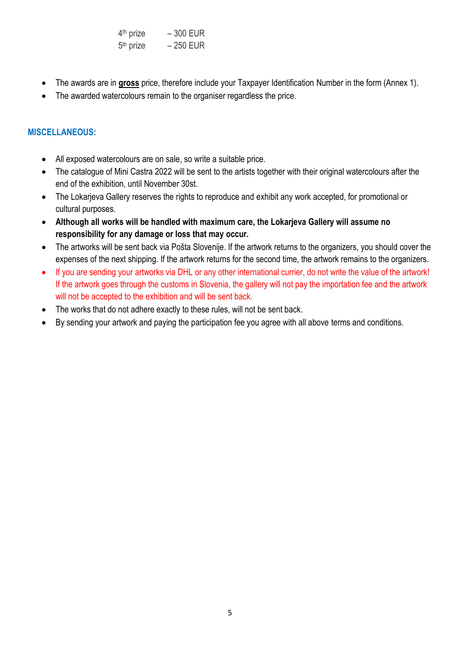| 4 <sup>th</sup> prize | $-300$ EUR |
|-----------------------|------------|
| 5 <sup>th</sup> prize | $-250$ EUR |

- The awards are in **gross** price, therefore include your Taxpayer Identification Number in the form (Annex 1).
- The awarded watercolours remain to the organiser regardless the price.

#### **MISCELLANEOUS:**

- All exposed watercolours are on sale, so write a suitable price.
- The catalogue of Mini Castra 2022 will be sent to the artists together with their original watercolours after the end of the exhibition, until November 30st.
- The Lokarjeva Gallery reserves the rights to reproduce and exhibit any work accepted, for promotional or cultural purposes.
- **Although all works will be handled with maximum care, the Lokarjeva Gallery will assume no responsibility for any damage or loss that may occur.**
- The artworks will be sent back via Pošta Slovenije. If the artwork returns to the organizers, you should cover the expenses of the next shipping. If the artwork returns for the second time, the artwork remains to the organizers.
- If you are sending your artworks via DHL or any other international currier, do not write the value of the artwork! If the artwork goes through the customs in Slovenia, the gallery will not pay the importation fee and the artwork will not be accepted to the exhibition and will be sent back.
- The works that do not adhere exactly to these rules, will not be sent back.
- By sending your artwork and paying the participation fee you agree with all above terms and conditions.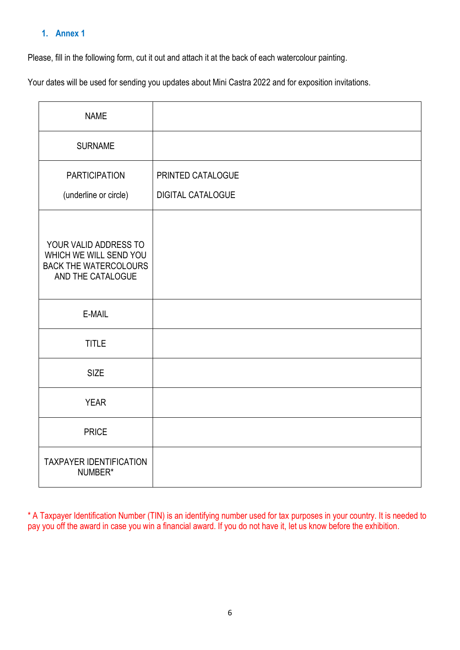## **1. Annex 1**

Please, fill in the following form, cut it out and attach it at the back of each watercolour painting.

Your dates will be used for sending you updates about Mini Castra 2022 and for exposition invitations.

| <b>NAME</b>                                                                                          |                          |
|------------------------------------------------------------------------------------------------------|--------------------------|
| <b>SURNAME</b>                                                                                       |                          |
| <b>PARTICIPATION</b>                                                                                 | PRINTED CATALOGUE        |
| (underline or circle)                                                                                | <b>DIGITAL CATALOGUE</b> |
| YOUR VALID ADDRESS TO<br>WHICH WE WILL SEND YOU<br><b>BACK THE WATERCOLOURS</b><br>AND THE CATALOGUE |                          |
| E-MAIL                                                                                               |                          |
| <b>TITLE</b>                                                                                         |                          |
| <b>SIZE</b>                                                                                          |                          |
| <b>YEAR</b>                                                                                          |                          |
| <b>PRICE</b>                                                                                         |                          |
| <b>TAXPAYER IDENTIFICATION</b><br>NUMBER*                                                            |                          |

\* A Taxpayer Identification Number (TIN) is an identifying number used for tax purposes in your country. It is needed to pay you off the award in case you win a financial award. If you do not have it, let us know before the exhibition.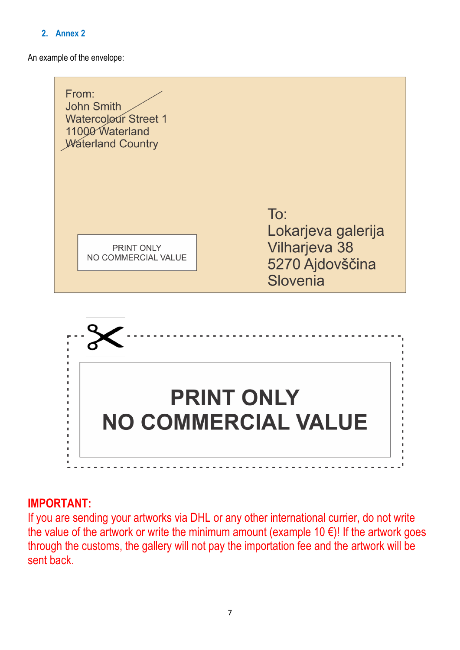# **2. Annex 2**

An example of the envelope:





# **IMPORTANT:**

If you are sending your artworks via DHL or any other international currier, do not write the value of the artwork or write the minimum amount (example 10 $\epsilon$ )! If the artwork goes through the customs, the gallery will not pay the importation fee and the artwork will be sent back.